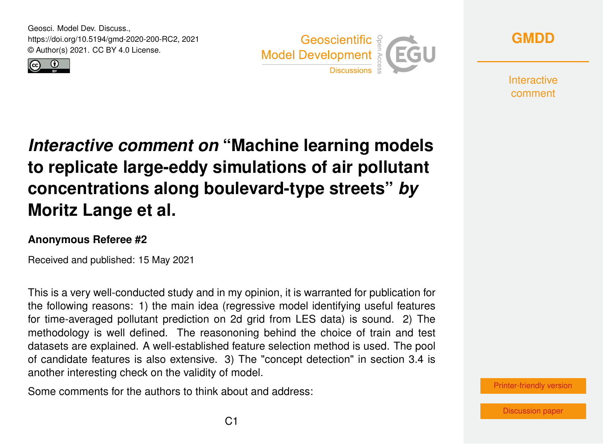Geosci. Model Dev. Discuss., https://doi.org/10.5194/gmd-2020-200-RC2, 2021 © Author(s) 2021. CC BY 4.0 License.







**Interactive** comment

## *Interactive comment on* **"Machine learning models to replicate large-eddy simulations of air pollutant concentrations along boulevard-type streets"** *by* **Moritz Lange et al.**

## **Anonymous Referee #2**

Received and published: 15 May 2021

This is a very well-conducted study and in my opinion, it is warranted for publication for the following reasons: 1) the main idea (regressive model identifying useful features for time-averaged pollutant prediction on 2d grid from LES data) is sound. 2) The methodology is well defined. The reasononing behind the choice of train and test datasets are explained. A well-established feature selection method is used. The pool of candidate features is also extensive. 3) The "concept detection" in section 3.4 is another interesting check on the validity of model.

Some comments for the authors to think about and address:

[Printer-friendly version](https://gmd.copernicus.org/preprints/gmd-2020-200/gmd-2020-200-RC2-print.pdf)

[Discussion paper](https://gmd.copernicus.org/preprints/gmd-2020-200)